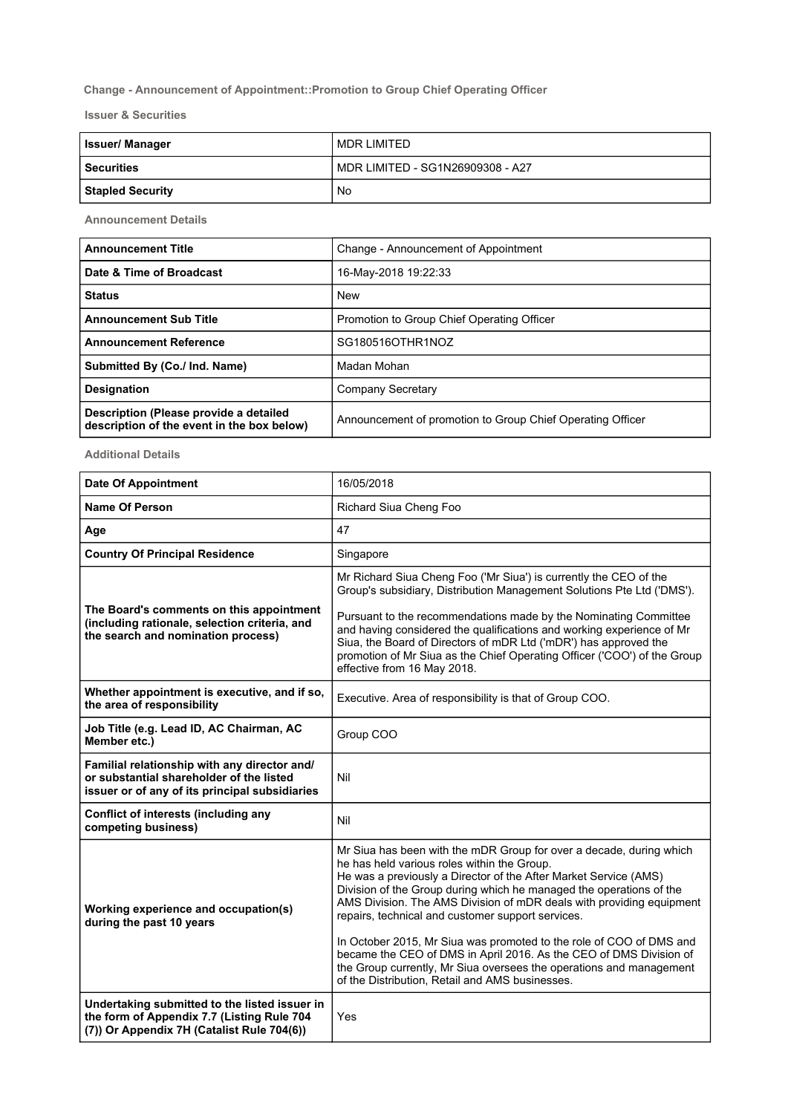## Change - Announcement of Appointment::Promotion to Group Chief Operating Officer

Issuer & Securities

| <b>Issuer/Manager</b>   | MDR LIMITED                      |
|-------------------------|----------------------------------|
| <b>Securities</b>       | MDR LIMITED - SG1N26909308 - A27 |
| <b>Stapled Security</b> | No                               |

Announcement Details

| <b>Announcement Title</b>                                                            | Change - Announcement of Appointment                       |
|--------------------------------------------------------------------------------------|------------------------------------------------------------|
| Date & Time of Broadcast                                                             | 16-May-2018 19:22:33                                       |
| <b>Status</b>                                                                        | <b>New</b>                                                 |
| <b>Announcement Sub Title</b>                                                        | Promotion to Group Chief Operating Officer                 |
| <b>Announcement Reference</b>                                                        | SG180516OTHR1NOZ                                           |
| Submitted By (Co./ Ind. Name)                                                        | Madan Mohan                                                |
| <b>Designation</b>                                                                   | Company Secretary                                          |
| Description (Please provide a detailed<br>description of the event in the box below) | Announcement of promotion to Group Chief Operating Officer |

Additional Details

| <b>Date Of Appointment</b>                                                                                                                 | 16/05/2018                                                                                                                                                                                                                                                                                                                                                                                                                                                                                                                              |
|--------------------------------------------------------------------------------------------------------------------------------------------|-----------------------------------------------------------------------------------------------------------------------------------------------------------------------------------------------------------------------------------------------------------------------------------------------------------------------------------------------------------------------------------------------------------------------------------------------------------------------------------------------------------------------------------------|
| <b>Name Of Person</b>                                                                                                                      | Richard Siua Cheng Foo                                                                                                                                                                                                                                                                                                                                                                                                                                                                                                                  |
| Age                                                                                                                                        | 47                                                                                                                                                                                                                                                                                                                                                                                                                                                                                                                                      |
| <b>Country Of Principal Residence</b>                                                                                                      | Singapore                                                                                                                                                                                                                                                                                                                                                                                                                                                                                                                               |
|                                                                                                                                            | Mr Richard Siua Cheng Foo ('Mr Siua') is currently the CEO of the<br>Group's subsidiary, Distribution Management Solutions Pte Ltd ('DMS').                                                                                                                                                                                                                                                                                                                                                                                             |
| The Board's comments on this appointment<br>(including rationale, selection criteria, and<br>the search and nomination process)            | Pursuant to the recommendations made by the Nominating Committee<br>and having considered the qualifications and working experience of Mr<br>Siua, the Board of Directors of mDR Ltd ('mDR') has approved the<br>promotion of Mr Siua as the Chief Operating Officer ('COO') of the Group<br>effective from 16 May 2018.                                                                                                                                                                                                                |
| Whether appointment is executive, and if so,<br>the area of responsibility                                                                 | Executive. Area of responsibility is that of Group COO.                                                                                                                                                                                                                                                                                                                                                                                                                                                                                 |
| Job Title (e.g. Lead ID, AC Chairman, AC<br>Member etc.)                                                                                   | Group COO                                                                                                                                                                                                                                                                                                                                                                                                                                                                                                                               |
| Familial relationship with any director and/<br>or substantial shareholder of the listed<br>issuer or of any of its principal subsidiaries | Nil                                                                                                                                                                                                                                                                                                                                                                                                                                                                                                                                     |
| Conflict of interests (including any<br>competing business)                                                                                | Nil                                                                                                                                                                                                                                                                                                                                                                                                                                                                                                                                     |
| Working experience and occupation(s)<br>during the past 10 years                                                                           | Mr Siua has been with the mDR Group for over a decade, during which<br>he has held various roles within the Group.<br>He was a previously a Director of the After Market Service (AMS)<br>Division of the Group during which he managed the operations of the<br>AMS Division. The AMS Division of mDR deals with providing equipment<br>repairs, technical and customer support services.<br>In October 2015, Mr Siua was promoted to the role of COO of DMS and<br>became the CEO of DMS in April 2016. As the CEO of DMS Division of |
|                                                                                                                                            | the Group currently, Mr Siua oversees the operations and management<br>of the Distribution, Retail and AMS businesses.                                                                                                                                                                                                                                                                                                                                                                                                                  |
| Undertaking submitted to the listed issuer in<br>the form of Appendix 7.7 (Listing Rule 704<br>(7)) Or Appendix 7H (Catalist Rule 704(6))  | Yes                                                                                                                                                                                                                                                                                                                                                                                                                                                                                                                                     |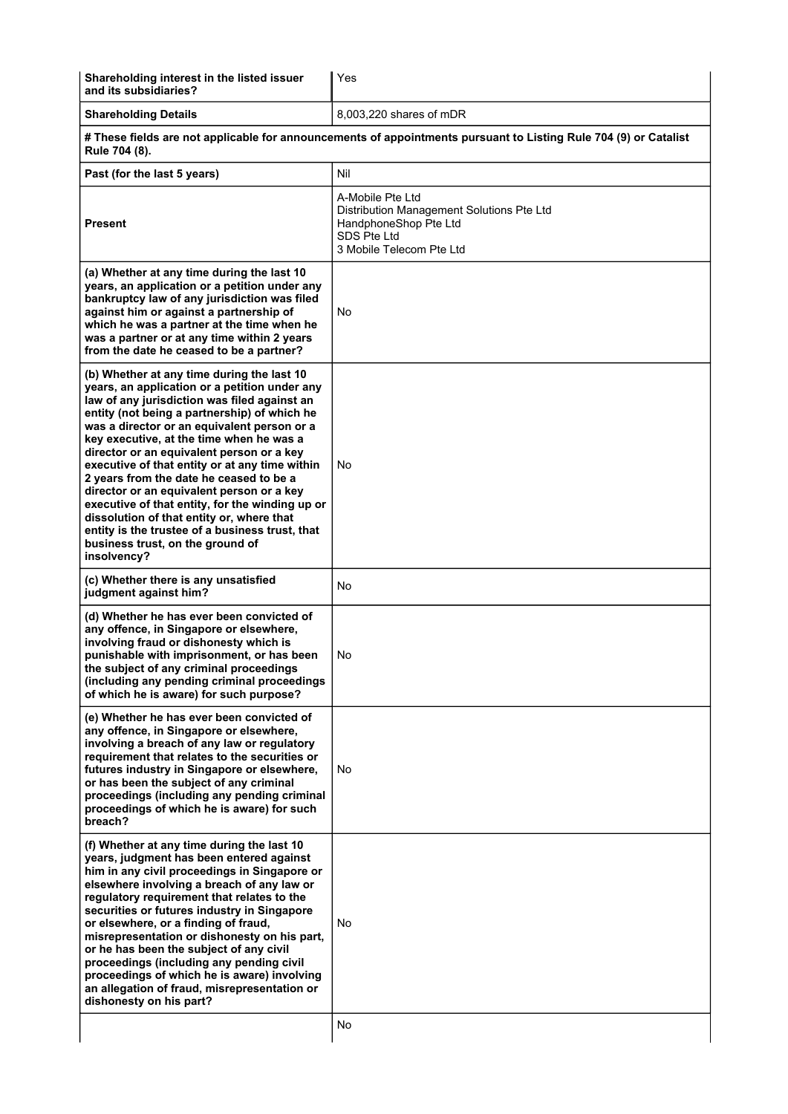| Shareholding interest in the listed issuer<br>and its subsidiaries?                                                                                                                                                                                                                                                                                                                                                                                                                                                                                                                                                                                                                 | Yes                                                                                                                               |  |
|-------------------------------------------------------------------------------------------------------------------------------------------------------------------------------------------------------------------------------------------------------------------------------------------------------------------------------------------------------------------------------------------------------------------------------------------------------------------------------------------------------------------------------------------------------------------------------------------------------------------------------------------------------------------------------------|-----------------------------------------------------------------------------------------------------------------------------------|--|
| <b>Shareholding Details</b>                                                                                                                                                                                                                                                                                                                                                                                                                                                                                                                                                                                                                                                         | 8,003,220 shares of mDR                                                                                                           |  |
| # These fields are not applicable for announcements of appointments pursuant to Listing Rule 704 (9) or Catalist<br>Rule 704 (8).                                                                                                                                                                                                                                                                                                                                                                                                                                                                                                                                                   |                                                                                                                                   |  |
| Past (for the last 5 years)                                                                                                                                                                                                                                                                                                                                                                                                                                                                                                                                                                                                                                                         | Nil                                                                                                                               |  |
| <b>Present</b>                                                                                                                                                                                                                                                                                                                                                                                                                                                                                                                                                                                                                                                                      | A-Mobile Pte Ltd<br>Distribution Management Solutions Pte Ltd<br>HandphoneShop Pte Ltd<br>SDS Pte Ltd<br>3 Mobile Telecom Pte Ltd |  |
| (a) Whether at any time during the last 10<br>years, an application or a petition under any<br>bankruptcy law of any jurisdiction was filed<br>against him or against a partnership of<br>which he was a partner at the time when he<br>was a partner or at any time within 2 years<br>from the date he ceased to be a partner?                                                                                                                                                                                                                                                                                                                                                     | No                                                                                                                                |  |
| (b) Whether at any time during the last 10<br>years, an application or a petition under any<br>law of any jurisdiction was filed against an<br>entity (not being a partnership) of which he<br>was a director or an equivalent person or a<br>key executive, at the time when he was a<br>director or an equivalent person or a key<br>executive of that entity or at any time within<br>2 years from the date he ceased to be a<br>director or an equivalent person or a key<br>executive of that entity, for the winding up or<br>dissolution of that entity or, where that<br>entity is the trustee of a business trust, that<br>business trust, on the ground of<br>insolvency? | No                                                                                                                                |  |
| (c) Whether there is any unsatisfied<br>judgment against him?                                                                                                                                                                                                                                                                                                                                                                                                                                                                                                                                                                                                                       | No                                                                                                                                |  |
| (d) Whether he has ever been convicted of<br>any offence, in Singapore or elsewhere,<br>involving fraud or dishonesty which is<br>punishable with imprisonment, or has been<br>the subject of any criminal proceedings<br>(including any pending criminal proceedings<br>of which he is aware) for such purpose?                                                                                                                                                                                                                                                                                                                                                                    | No                                                                                                                                |  |
| (e) Whether he has ever been convicted of<br>any offence, in Singapore or elsewhere,<br>involving a breach of any law or regulatory<br>requirement that relates to the securities or<br>futures industry in Singapore or elsewhere,<br>or has been the subject of any criminal<br>proceedings (including any pending criminal<br>proceedings of which he is aware) for such<br>breach?                                                                                                                                                                                                                                                                                              | No                                                                                                                                |  |
| (f) Whether at any time during the last 10<br>years, judgment has been entered against<br>him in any civil proceedings in Singapore or<br>elsewhere involving a breach of any law or<br>regulatory requirement that relates to the<br>securities or futures industry in Singapore<br>or elsewhere, or a finding of fraud,<br>misrepresentation or dishonesty on his part,<br>or he has been the subject of any civil<br>proceedings (including any pending civil<br>proceedings of which he is aware) involving<br>an allegation of fraud, misrepresentation or<br>dishonesty on his part?                                                                                          | No                                                                                                                                |  |
|                                                                                                                                                                                                                                                                                                                                                                                                                                                                                                                                                                                                                                                                                     | No                                                                                                                                |  |